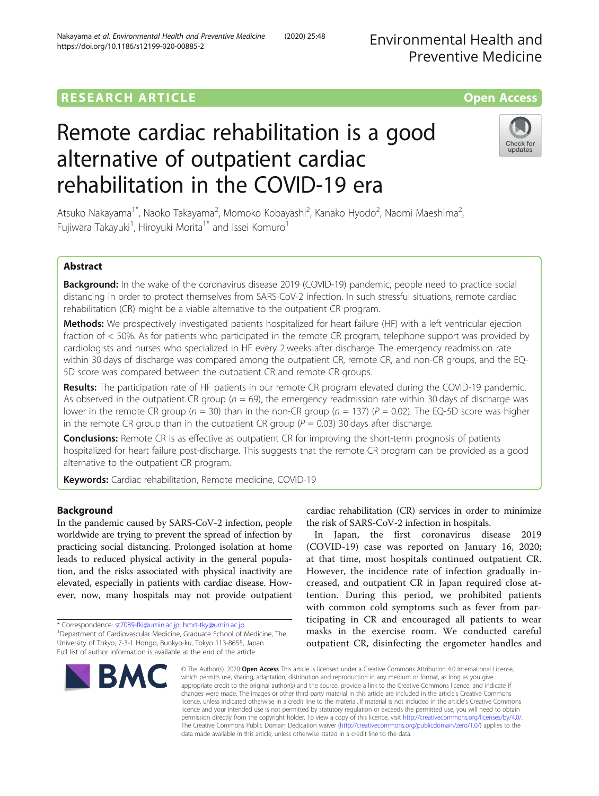## **RESEARCH ARTICLE Example 2018 12:00 Department of the CONNECTION CONNECTION CONNECTION CONNECTION**

# Remote cardiac rehabilitation is a good alternative of outpatient cardiac rehabilitation in the COVID-19 era

Atsuko Nakayama<sup>1\*</sup>, Naoko Takayama<sup>2</sup>, Momoko Kobayashi<sup>2</sup>, Kanako Hyodo<sup>2</sup>, Naomi Maeshima<sup>2</sup> , Fujiwara Takayuki<sup>1</sup>, Hiroyuki Morita<sup>1\*</sup> and Issei Komuro<sup>1</sup>

## Abstract

Background: In the wake of the coronavirus disease 2019 (COVID-19) pandemic, people need to practice social distancing in order to protect themselves from SARS-CoV-2 infection. In such stressful situations, remote cardiac rehabilitation (CR) might be a viable alternative to the outpatient CR program.

Methods: We prospectively investigated patients hospitalized for heart failure (HF) with a left ventricular ejection fraction of < 50%. As for patients who participated in the remote CR program, telephone support was provided by cardiologists and nurses who specialized in HF every 2 weeks after discharge. The emergency readmission rate within 30 days of discharge was compared among the outpatient CR, remote CR, and non-CR groups, and the EQ-5D score was compared between the outpatient CR and remote CR groups.

Results: The participation rate of HF patients in our remote CR program elevated during the COVID-19 pandemic. As observed in the outpatient CR group ( $n = 69$ ), the emergency readmission rate within 30 days of discharge was lower in the remote CR group ( $n = 30$ ) than in the non-CR group ( $n = 137$ ) ( $P = 0.02$ ). The EQ-5D score was higher in the remote CR group than in the outpatient CR group ( $P = 0.03$ ) 30 days after discharge.

**Conclusions:** Remote CR is as effective as outpatient CR for improving the short-term prognosis of patients hospitalized for heart failure post-discharge. This suggests that the remote CR program can be provided as a good alternative to the outpatient CR program.

Keywords: Cardiac rehabilitation, Remote medicine, COVID-19

## Background

In the pandemic caused by SARS-CoV-2 infection, people worldwide are trying to prevent the spread of infection by practicing social distancing. Prolonged isolation at home leads to reduced physical activity in the general population, and the risks associated with physical inactivity are elevated, especially in patients with cardiac disease. However, now, many hospitals may not provide outpatient

\* Correspondence: [st7089-fki@umin.ac.jp](mailto:st7089-fki@umin.ac.jp); [hmrt-tky@umin.ac.jp](mailto:hmrt-tky@umin.ac.jp) <sup>1</sup> <sup>1</sup>Department of Cardiovascular Medicine, Graduate School of Medicine, The University of Tokyo, 7-3-1 Hongo, Bunkyo-ku, Tokyo 113-8655, Japan Full list of author information is available at the end of the article

© The Author(s), 2020 **Open Access** This article is licensed under a Creative Commons Attribution 4.0 International License, BMC which permits use, sharing, adaptation, distribution and reproduction in any medium or format, as long as you give appropriate credit to the original author(s) and the source, provide a link to the Creative Commons licence, and indicate if changes were made. The images or other third party material in this article are included in the article's Creative Commons licence, unless indicated otherwise in a credit line to the material. If material is not included in the article's Creative Commons

data made available in this article, unless otherwise stated in a credit line to the data.

Nakayama et al. Environmental Health and Preventive Medicine (2020) 25:48 https://doi.org/10.1186/s12199-020-00885-2





(COVID-19) case was reported on January 16, 2020; at that time, most hospitals continued outpatient CR. However, the incidence rate of infection gradually increased, and outpatient CR in Japan required close attention. During this period, we prohibited patients with common cold symptoms such as fever from participating in CR and encouraged all patients to wear masks in the exercise room. We conducted careful outpatient CR, disinfecting the ergometer handles and

licence and your intended use is not permitted by statutory regulation or exceeds the permitted use, you will need to obtain permission directly from the copyright holder. To view a copy of this licence, visit [http://creativecommons.org/licenses/by/4.0/.](http://creativecommons.org/licenses/by/4.0/) The Creative Commons Public Domain Dedication waiver [\(http://creativecommons.org/publicdomain/zero/1.0/](http://creativecommons.org/publicdomain/zero/1.0/)) applies to the

Environmental Health and Preventive Medicine



Check for update: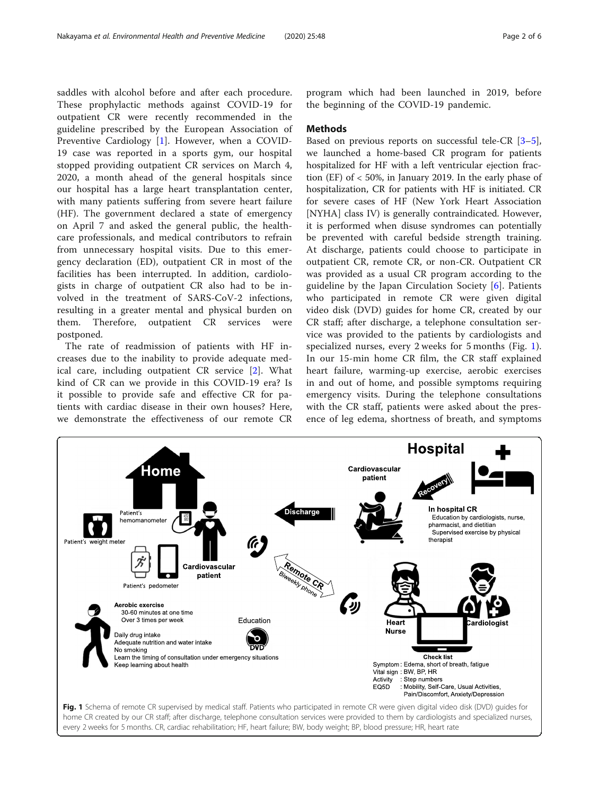saddles with alcohol before and after each procedure. These prophylactic methods against COVID-19 for outpatient CR were recently recommended in the guideline prescribed by the European Association of Preventive Cardiology [[1\]](#page-4-0). However, when a COVID-19 case was reported in a sports gym, our hospital stopped providing outpatient CR services on March 4, 2020, a month ahead of the general hospitals since our hospital has a large heart transplantation center, with many patients suffering from severe heart failure (HF). The government declared a state of emergency on April 7 and asked the general public, the healthcare professionals, and medical contributors to refrain from unnecessary hospital visits. Due to this emergency declaration (ED), outpatient CR in most of the facilities has been interrupted. In addition, cardiologists in charge of outpatient CR also had to be involved in the treatment of SARS-CoV-2 infections, resulting in a greater mental and physical burden on them. Therefore, outpatient CR services were postponed.

The rate of readmission of patients with HF increases due to the inability to provide adequate medical care, including outpatient CR service [\[2](#page-4-0)]. What kind of CR can we provide in this COVID-19 era? Is it possible to provide safe and effective CR for patients with cardiac disease in their own houses? Here, we demonstrate the effectiveness of our remote CR program which had been launched in 2019, before the beginning of the COVID-19 pandemic.

#### Methods

Based on previous reports on successful tele-CR [\[3](#page-4-0)-[5](#page-4-0)], we launched a home-based CR program for patients hospitalized for HF with a left ventricular ejection fraction (EF) of < 50%, in January 2019. In the early phase of hospitalization, CR for patients with HF is initiated. CR for severe cases of HF (New York Heart Association [NYHA] class IV) is generally contraindicated. However, it is performed when disuse syndromes can potentially be prevented with careful bedside strength training. At discharge, patients could choose to participate in outpatient CR, remote CR, or non-CR. Outpatient CR was provided as a usual CR program according to the guideline by the Japan Circulation Society [\[6](#page-4-0)]. Patients who participated in remote CR were given digital video disk (DVD) guides for home CR, created by our CR staff; after discharge, a telephone consultation service was provided to the patients by cardiologists and specialized nurses, every 2 weeks for 5 months (Fig. 1). In our 15-min home CR film, the CR staff explained heart failure, warming-up exercise, aerobic exercises in and out of home, and possible symptoms requiring emergency visits. During the telephone consultations with the CR staff, patients were asked about the presence of leg edema, shortness of breath, and symptoms

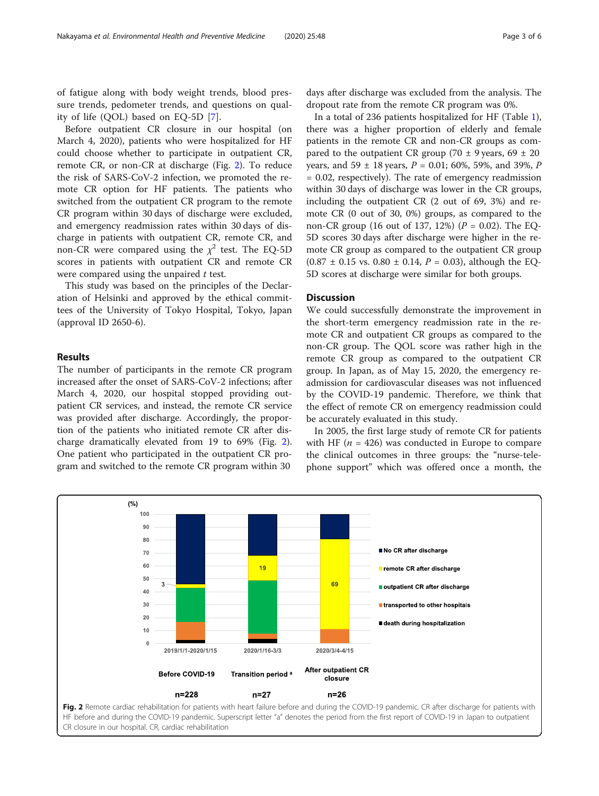of fatigue along with body weight trends, blood pressure trends, pedometer trends, and questions on quality of life (QOL) based on EQ-5D [[7\]](#page-4-0).

Before outpatient CR closure in our hospital (on March 4, 2020), patients who were hospitalized for HF could choose whether to participate in outpatient CR, remote CR, or non-CR at discharge (Fig. 2). To reduce the risk of SARS-CoV-2 infection, we promoted the remote CR option for HF patients. The patients who switched from the outpatient CR program to the remote CR program within 30 days of discharge were excluded, and emergency readmission rates within 30 days of discharge in patients with outpatient CR, remote CR, and non-CR were compared using the  $\chi^2$  test. The EQ-5D scores in patients with outpatient CR and remote CR were compared using the unpaired  $t$  test.

This study was based on the principles of the Declaration of Helsinki and approved by the ethical committees of the University of Tokyo Hospital, Tokyo, Japan (approval ID 2650-6).

#### Results

The number of participants in the remote CR program increased after the onset of SARS-CoV-2 infections; after March 4, 2020, our hospital stopped providing outpatient CR services, and instead, the remote CR service was provided after discharge. Accordingly, the proportion of the patients who initiated remote CR after discharge dramatically elevated from 19 to 69% (Fig. 2). One patient who participated in the outpatient CR program and switched to the remote CR program within 30

days after discharge was excluded from the analysis. The dropout rate from the remote CR program was 0%.

In a total of 236 patients hospitalized for HF (Table [1](#page-3-0)), there was a higher proportion of elderly and female patients in the remote CR and non-CR groups as compared to the outpatient CR group (70  $\pm$  9 years, 69  $\pm$  20 years, and  $59 \pm 18$  years,  $P = 0.01$ ; 60%, 59%, and 39%, P = 0.02, respectively). The rate of emergency readmission within 30 days of discharge was lower in the CR groups, including the outpatient CR (2 out of 69, 3%) and remote CR (0 out of 30, 0%) groups, as compared to the non-CR group (16 out of 137, 12%) ( $P = 0.02$ ). The EQ-5D scores 30 days after discharge were higher in the remote CR group as compared to the outpatient CR group  $(0.87 \pm 0.15 \text{ vs. } 0.80 \pm 0.14, P = 0.03)$ , although the EQ-5D scores at discharge were similar for both groups.

## **Discussion**

We could successfully demonstrate the improvement in the short-term emergency readmission rate in the remote CR and outpatient CR groups as compared to the non-CR group. The QOL score was rather high in the remote CR group as compared to the outpatient CR group. In Japan, as of May 15, 2020, the emergency readmission for cardiovascular diseases was not influenced by the COVID-19 pandemic. Therefore, we think that the effect of remote CR on emergency readmission could be accurately evaluated in this study.

In 2005, the first large study of remote CR for patients with HF ( $n = 426$ ) was conducted in Europe to compare the clinical outcomes in three groups: the "nurse-telephone support" which was offered once a month, the



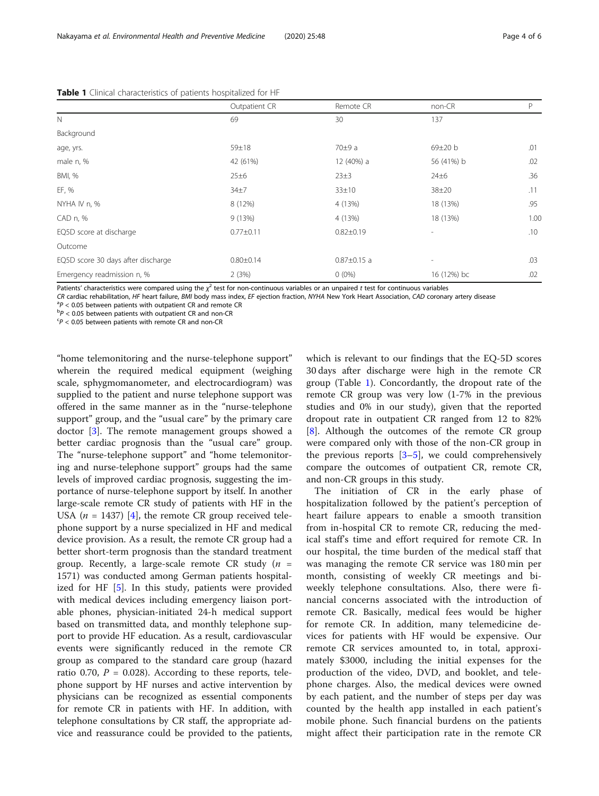| Outpatient CR   | Remote CR         | non-CR        | Ρ    |
|-----------------|-------------------|---------------|------|
| 69              | 30                | 137           |      |
|                 |                   |               |      |
| 59±18           | 70±9 a            | $69 \pm 20 b$ | .01  |
| 42 (61%)        | 12 (40%) a        | 56 (41%) b    | .02  |
| 25±6            | $23\pm3$          | 24±6          | .36  |
| $34\pm7$        | 33±10             | $38 + 20$     | .11  |
| 8 (12%)         | 4 (13%)           | 18 (13%)      | .95  |
| 9(13%)          | 4 (13%)           | 18 (13%)      | 1.00 |
| $0.77 + 0.11$   | $0.82 \pm 0.19$   | ۰             | .10  |
|                 |                   |               |      |
| $0.80 \pm 0.14$ | $0.87 \pm 0.15$ a | ۰             | .03  |
| 2(3%)           | $0(0\%)$          | 16 (12%) bc   | .02  |
|                 |                   |               |      |

<span id="page-3-0"></span>Table 1 Clinical characteristics of patients hospitalized for HF

Patients' characteristics were compared using the  $\chi^2$  test for non-continuous variables or an unpaired t test for continuous variables

CR cardiac rehabilitation, HF heart failure, BMI body mass index, EF ejection fraction, NYHA New York Heart Association, CAD coronary artery disease

 $P^a$  < 0.05 between patients with outpatient CR and remote CR

 $P > 0.05$  between patients with outpatient CR and non-CR

 $P < 0.05$  between patients with remote CR and non-CR

"home telemonitoring and the nurse-telephone support" wherein the required medical equipment (weighing scale, sphygmomanometer, and electrocardiogram) was supplied to the patient and nurse telephone support was offered in the same manner as in the "nurse-telephone support" group, and the "usual care" by the primary care doctor [\[3](#page-4-0)]. The remote management groups showed a better cardiac prognosis than the "usual care" group. The "nurse-telephone support" and "home telemonitoring and nurse-telephone support" groups had the same levels of improved cardiac prognosis, suggesting the importance of nurse-telephone support by itself. In another large-scale remote CR study of patients with HF in the USA ( $n = 1437$ ) [[4\]](#page-4-0), the remote CR group received telephone support by a nurse specialized in HF and medical device provision. As a result, the remote CR group had a better short-term prognosis than the standard treatment group. Recently, a large-scale remote CR study  $(n =$ 1571) was conducted among German patients hospitalized for HF [[5](#page-4-0)]. In this study, patients were provided with medical devices including emergency liaison portable phones, physician-initiated 24-h medical support based on transmitted data, and monthly telephone support to provide HF education. As a result, cardiovascular events were significantly reduced in the remote CR group as compared to the standard care group (hazard ratio 0.70,  $P = 0.028$ ). According to these reports, telephone support by HF nurses and active intervention by physicians can be recognized as essential components for remote CR in patients with HF. In addition, with telephone consultations by CR staff, the appropriate advice and reassurance could be provided to the patients,

which is relevant to our findings that the EQ-5D scores 30 days after discharge were high in the remote CR group (Table 1). Concordantly, the dropout rate of the remote CR group was very low (1-7% in the previous studies and 0% in our study), given that the reported dropout rate in outpatient CR ranged from 12 to 82% [[8\]](#page-5-0). Although the outcomes of the remote CR group were compared only with those of the non-CR group in the previous reports  $[3-5]$  $[3-5]$  $[3-5]$  $[3-5]$ , we could comprehensively compare the outcomes of outpatient CR, remote CR, and non-CR groups in this study.

The initiation of CR in the early phase of hospitalization followed by the patient's perception of heart failure appears to enable a smooth transition from in-hospital CR to remote CR, reducing the medical staff's time and effort required for remote CR. In our hospital, the time burden of the medical staff that was managing the remote CR service was 180 min per month, consisting of weekly CR meetings and biweekly telephone consultations. Also, there were financial concerns associated with the introduction of remote CR. Basically, medical fees would be higher for remote CR. In addition, many telemedicine devices for patients with HF would be expensive. Our remote CR services amounted to, in total, approximately \$3000, including the initial expenses for the production of the video, DVD, and booklet, and telephone charges. Also, the medical devices were owned by each patient, and the number of steps per day was counted by the health app installed in each patient's mobile phone. Such financial burdens on the patients might affect their participation rate in the remote CR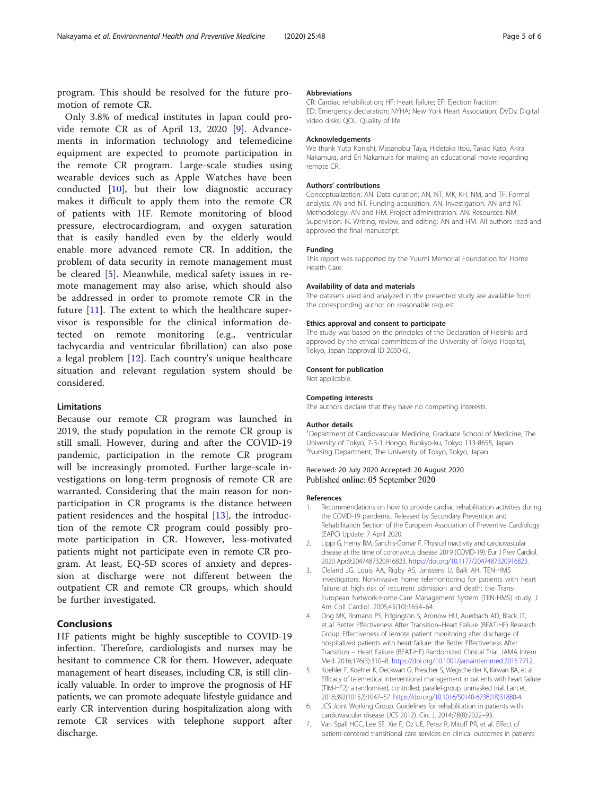<span id="page-4-0"></span>program. This should be resolved for the future promotion of remote CR.

Only 3.8% of medical institutes in Japan could provide remote CR as of April 13, 2020 [[9\]](#page-5-0). Advancements in information technology and telemedicine equipment are expected to promote participation in the remote CR program. Large-scale studies using wearable devices such as Apple Watches have been conducted [[10\]](#page-5-0), but their low diagnostic accuracy makes it difficult to apply them into the remote CR of patients with HF. Remote monitoring of blood pressure, electrocardiogram, and oxygen saturation that is easily handled even by the elderly would enable more advanced remote CR. In addition, the problem of data security in remote management must be cleared [5]. Meanwhile, medical safety issues in remote management may also arise, which should also be addressed in order to promote remote CR in the future [\[11](#page-5-0)]. The extent to which the healthcare supervisor is responsible for the clinical information detected on remote monitoring (e.g., ventricular tachycardia and ventricular fibrillation) can also pose a legal problem [[12\]](#page-5-0). Each country's unique healthcare situation and relevant regulation system should be considered.

## Limitations

Because our remote CR program was launched in 2019, the study population in the remote CR group is still small. However, during and after the COVID-19 pandemic, participation in the remote CR program will be increasingly promoted. Further large-scale investigations on long-term prognosis of remote CR are warranted. Considering that the main reason for nonparticipation in CR programs is the distance between patient residences and the hospital [\[13](#page-5-0)], the introduction of the remote CR program could possibly promote participation in CR. However, less-motivated patients might not participate even in remote CR program. At least, EQ-5D scores of anxiety and depression at discharge were not different between the outpatient CR and remote CR groups, which should be further investigated.

## Conclusions

HF patients might be highly susceptible to COVID-19 infection. Therefore, cardiologists and nurses may be hesitant to commence CR for them. However, adequate management of heart diseases, including CR, is still clinically valuable. In order to improve the prognosis of HF patients, we can promote adequate lifestyle guidance and early CR intervention during hospitalization along with remote CR services with telephone support after discharge.

#### Abbreviations

CR: Cardiac rehabilitation; HF: Heart failure; EF: Ejection fraction; ED: Emergency declaration; NYHA: New York Heart Association; DVDs: Digital video disks; QOL: Quality of life

#### Acknowledgements

We thank Yuto Konishi, Masanobu Taya, Hidetaka Itou, Takao Kato, Akira Nakamura, and Eri Nakamura for making an educational movie regarding remote CR.

#### Authors' contributions

Conceptualization: AN. Data curation: AN, NT, MK, KH, NM, and TF. Formal analysis: AN and NT. Funding acquisition: AN. Investigation: AN and NT. Methodology: AN and HM. Project administration: AN. Resources: NM. Supervision: IK. Writing, review, and editing: AN and HM. All authors read and approved the final manuscript.

#### Funding

This report was supported by the Yuumi Memorial Foundation for Home Health Care.

#### Availability of data and materials

The datasets used and analyzed in the presented study are available from the corresponding author on reasonable request.

#### Ethics approval and consent to participate

The study was based on the principles of the Declaration of Helsinki and approved by the ethical committees of the University of Tokyo Hospital, Tokyo, Japan (approval ID 2650-6).

#### Consent for publication

Not applicable.

#### Competing interests

The authors declare that they have no competing interests.

#### Author details

<sup>1</sup>Department of Cardiovascular Medicine, Graduate School of Medicine, The University of Tokyo, 7-3-1 Hongo, Bunkyo-ku, Tokyo 113-8655, Japan. 2 Nursing Department, The University of Tokyo, Tokyo, Japan.

#### Received: 20 July 2020 Accepted: 20 August 2020 Published online: 05 September 2020

#### References

- 1. Recommendations on how to provide cardiac rehabilitation activities during the COVID-19 pandemic. Released by Secondary Prevention and Rehabilitation Section of the European Association of Preventive Cardiology (EAPC) Update: 7 April 2020.
- 2. Lippi G, Henry BM, Sanchis-Gomar F. Physical inactivity and cardiovascular disease at the time of coronavirus disease 2019 (COVID-19). Eur J Prev Cardiol. 2020 Apr;9:2047487320916823. [https://doi.org/10.1177/2047487320916823.](https://doi.org/10.1177/2047487320916823)
- 3. Cleland JG, Louis AA, Rigby AS, Janssens U, Balk AH. TEN-HMS Investigators. Noninvasive home telemonitoring for patients with heart failure at high risk of recurrent admission and death: the Trans-European Network-Home-Care Management System (TEN-HMS) study. J Am Coll Cardiol. 2005;45(10):1654–64.
- 4. Ong MK, Romano PS, Edgington S, Aronow HU, Auerbach AD, Black JT, et al. Better Effectiveness After Transition–Heart Failure (BEAT-HF) Research Group. Effectiveness of remote patient monitoring after discharge of hospitalized patients with heart failure: the Better Effectiveness After Transition -- Heart Failure (BEAT-HF) Randomized Clinical Trial. JAMA Intern Med. 2016;176(3):310–8. <https://doi.org/10.1001/jamainternmed.2015.7712>.
- 5. Koehler F, Koehler K, Deckwart O, Prescher S, Wegscheider K, Kirwan BA, et al. Efficacy of telemedical interventional management in patients with heart failure (TIM-HF2): a randomised, controlled, parallel-group, unmasked trial. Lancet. 2018;392(10152):1047–57. [https://doi.org/10.1016/S0140-6736\(18\)31880-4.](https://doi.org/10.1016/S0140-6736(18)31880-4)
- 6. JCS Joint Working Group. Guidelines for rehabilitation in patients with cardiovascular disease (JCS 2012). Circ J. 2014;78(8):2022–93.
- 7. Van Spall HGC, Lee SF, Xie F, Oz UE, Perez R, Mitoff PR, et al. Effect of patient-centered transitional care services on clinical outcomes in patients